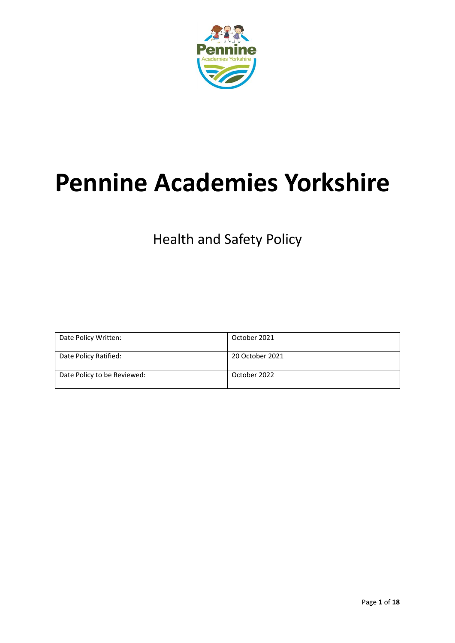

# **Pennine Academies Yorkshire**

Health and Safety Policy

| Date Policy Written:        | October 2021    |
|-----------------------------|-----------------|
| Date Policy Ratified:       | 20 October 2021 |
| Date Policy to be Reviewed: | October 2022    |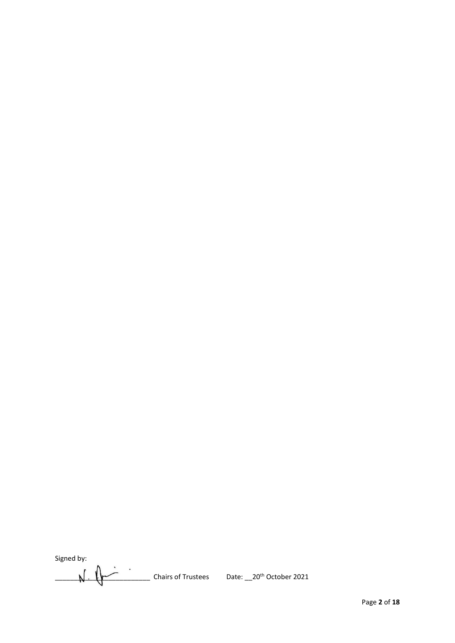<span id="page-1-0"></span>Signed by:

Signed by:<br>  $\sqrt{\frac{1}{2} \sqrt{2}}$  Chairs of Trustees Date: \_\_20<sup>th</sup> October 2021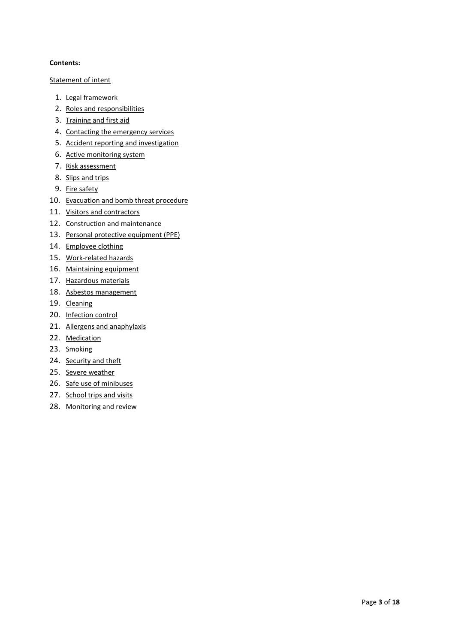# <span id="page-2-0"></span>**Contents:**

# [Statement of intent](#page-1-0)

- 1. [Legal framework](#page-4-0)
- 2. [Roles and responsibilities](#page-4-1)
- 3. [Training and first aid](#page-7-0)
- 4. [Contacting the emergency services](#page-7-1)
- 5. [Accident reporting and investigation](#page-7-2)
- 6. [Active monitoring system](#page-9-0)
- 7. [Risk assessment](#page-9-1)
- 8. [Slips and trips](#page-10-0)
- 9. [Fire safety](#page-10-1)
- 10. [Evacuation and bomb threat procedure](#page-10-2)
- 11. [Visitors and contractors](#page-10-3)
- 12. [Construction and maintenance](#page-11-0)
- 13. [Personal protective equipment \(PPE\)](#page-12-0)
- 14. [Employee clothing](#page-12-1)
- 15. [Work-related hazards](#page-13-0)
- 16. [Maintaining equipment](#page-14-0)
- 17. [Hazardous materials](#page-14-1)
- 18. [Asbestos management](#page-15-0)
- 19. [Cleaning](#page-15-1)
- 20. [Infection control](#page-15-2)
- 21. [Allergens and anaphylaxis](#page-15-3)
- 22. [Medication](#page-16-0)
- 23. [Smoking](#page-16-1)
- 24. [Security and theft](#page-16-2)
- 25. [Severe weather](#page-17-0)
- 26. [Safe use of minibuses](#page-17-1)
- 27. [School trips and visits](#page-17-2)
- 28. [Monitoring and review](#page-2-0)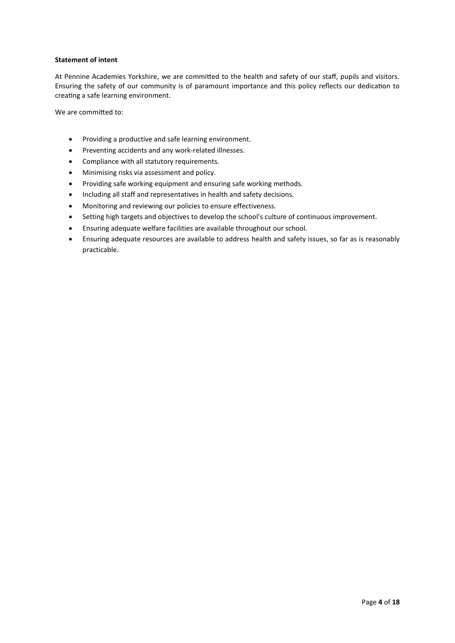# **Statement of intent**

At Pennine Academies Yorkshire, we are committed to the health and safety of our staff, pupils and visitors. Ensuring the safety of our community is of paramount importance and this policy reflects our dedication to creating a safe learning environment.

We are committed to:

- Providing a productive and safe learning environment.
- Preventing accidents and any work-related illnesses.
- Compliance with all statutory requirements.
- Minimising risks via assessment and policy.
- Providing safe working equipment and ensuring safe working methods.
- Including all staff and representatives in health and safety decisions.
- Monitoring and reviewing our policies to ensure effectiveness.
- Setting high targets and objectives to develop the school's culture of continuous improvement.
- Ensuring adequate welfare facilities are available throughout our school.
- Ensuring adequate resources are available to address health and safety issues, so far as is reasonably practicable.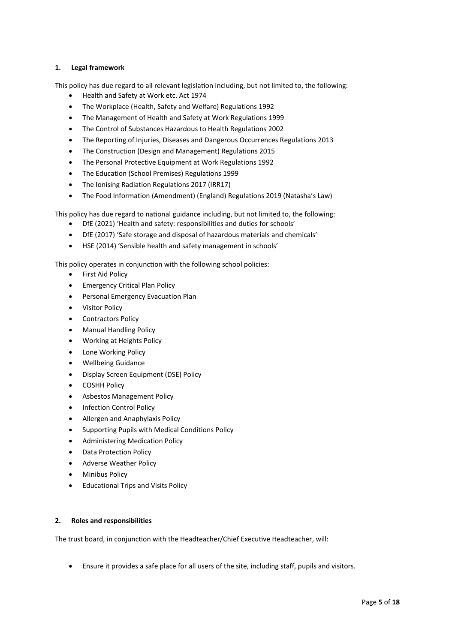# <span id="page-4-0"></span>**1. Legal framework**

This policy has due regard to all relevant legislation including, but not limited to, the following:

- Health and Safety at Work etc. Act 1974
- The Workplace (Health, Safety and Welfare) Regulations 1992
- The Management of Health and Safety at Work Regulations 1999
- The Control of Substances Hazardous to Health Regulations 2002
- The Reporting of Injuries, Diseases and Dangerous Occurrences Regulations 2013
- The Construction (Design and Management) Regulations 2015
- The Personal Protective Equipment at Work Regulations 1992
- The Education (School Premises) Regulations 1999
- The Ionising Radiation Regulations 2017 (IRR17)
- The Food Information (Amendment) (England) Regulations 2019 (Natasha's Law)

This policy has due regard to national guidance including, but not limited to, the following:

- DfE (2021) 'Health and safety: responsibilities and duties for schools'
- DfE (2017) 'Safe storage and disposal of hazardous materials and chemicals'
- HSE (2014) 'Sensible health and safety management in schools'

This policy operates in conjunction with the following school policies:

- **•** First Aid Policy
- **•** Emergency Critical Plan Policy
- Personal Emergency Evacuation Plan
- Visitor Policy
- Contractors Policy
- Manual Handling Policy
- Working at Heights Policy
- Lone Working Policy
- Wellbeing Guidance
- Display Screen Equipment (DSE) Policy
- COSHH Policy
- Asbestos Management Policy
- Infection Control Policy
- Allergen and Anaphylaxis Policy
- Supporting Pupils with Medical Conditions Policy
- Administering Medication Policy
- Data Protection Policy
- Adverse Weather Policy
- Minibus Policy
- **•** Educational Trips and Visits Policy

# <span id="page-4-1"></span>**2. Roles and responsibilities**

The trust board, in conjunction with the Headteacher/Chief Executive Headteacher, will:

Ensure it provides a safe place for all users of the site, including staff, pupils and visitors.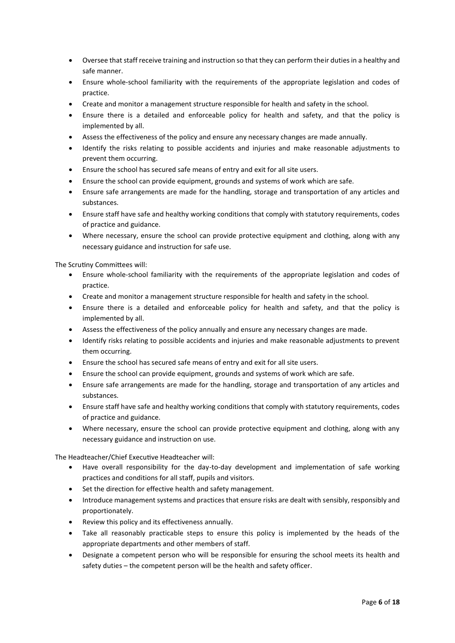- Oversee that staff receive training and instruction so that they can perform their duties in a healthy and safe manner.
- Ensure whole-school familiarity with the requirements of the appropriate legislation and codes of practice.
- Create and monitor a management structure responsible for health and safety in the school.
- Ensure there is a detailed and enforceable policy for health and safety, and that the policy is implemented by all.
- Assess the effectiveness of the policy and ensure any necessary changes are made annually.
- Identify the risks relating to possible accidents and injuries and make reasonable adjustments to prevent them occurring.
- Ensure the school has secured safe means of entry and exit for all site users.
- Ensure the school can provide equipment, grounds and systems of work which are safe.
- Ensure safe arrangements are made for the handling, storage and transportation of any articles and substances.
- Ensure staff have safe and healthy working conditions that comply with statutory requirements, codes of practice and guidance.
- Where necessary, ensure the school can provide protective equipment and clothing, along with any necessary guidance and instruction for safe use.

The Scrutiny Committees will:

- Ensure whole-school familiarity with the requirements of the appropriate legislation and codes of practice.
- Create and monitor a management structure responsible for health and safety in the school.
- Ensure there is a detailed and enforceable policy for health and safety, and that the policy is implemented by all.
- Assess the effectiveness of the policy annually and ensure any necessary changes are made.
- Identify risks relating to possible accidents and injuries and make reasonable adjustments to prevent them occurring.
- Ensure the school has secured safe means of entry and exit for all site users.
- Ensure the school can provide equipment, grounds and systems of work which are safe.
- Ensure safe arrangements are made for the handling, storage and transportation of any articles and substances.
- Ensure staff have safe and healthy working conditions that comply with statutory requirements, codes of practice and guidance.
- Where necessary, ensure the school can provide protective equipment and clothing, along with any necessary guidance and instruction on use.

The Headteacher/Chief Executive Headteacher will:

- Have overall responsibility for the day-to-day development and implementation of safe working practices and conditions for all staff, pupils and visitors.
- Set the direction for effective health and safety management.
- Introduce management systems and practices that ensure risks are dealt with sensibly, responsibly and proportionately.
- Review this policy and its effectiveness annually.
- Take all reasonably practicable steps to ensure this policy is implemented by the heads of the appropriate departments and other members of staff.
- Designate a competent person who will be responsible for ensuring the school meets its health and safety duties – the competent person will be the health and safety officer.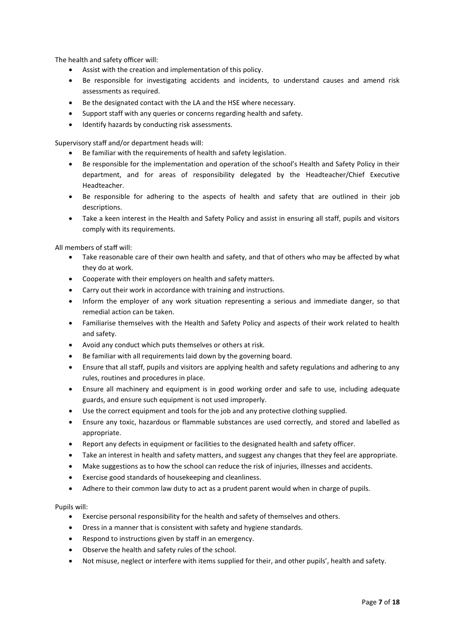The health and safety officer will:

- Assist with the creation and implementation of this policy.
- Be responsible for investigating accidents and incidents, to understand causes and amend risk assessments as required.
- Be the designated contact with the LA and the HSE where necessary.
- Support staff with any queries or concerns regarding health and safety.
- Identify hazards by conducting risk assessments.

Supervisory staff and/or department heads will:

- Be familiar with the requirements of health and safety legislation.
- Be responsible for the implementation and operation of the school's Health and Safety Policy in their department, and for areas of responsibility delegated by the Headteacher/Chief Executive Headteacher.
- Be responsible for adhering to the aspects of health and safety that are outlined in their job descriptions.
- Take a keen interest in the Health and Safety Policy and assist in ensuring all staff, pupils and visitors comply with its requirements.

All members of staff will:

- Take reasonable care of their own health and safety, and that of others who may be affected by what they do at work.
- Cooperate with their employers on health and safety matters.
- Carry out their work in accordance with training and instructions.
- Inform the employer of any work situation representing a serious and immediate danger, so that remedial action can be taken.
- Familiarise themselves with the Health and Safety Policy and aspects of their work related to health and safety.
- Avoid any conduct which puts themselves or others at risk.
- Be familiar with all requirements laid down by the governing board.
- Ensure that all staff, pupils and visitors are applying health and safety regulations and adhering to any rules, routines and procedures in place.
- Ensure all machinery and equipment is in good working order and safe to use, including adequate guards, and ensure such equipment is not used improperly.
- Use the correct equipment and tools for the job and any protective clothing supplied.
- Ensure any toxic, hazardous or flammable substances are used correctly, and stored and labelled as appropriate.
- Report any defects in equipment or facilities to the designated health and safety officer.
- Take an interest in health and safety matters, and suggest any changes that they feel are appropriate.
- Make suggestions as to how the school can reduce the risk of injuries, illnesses and accidents.
- Exercise good standards of housekeeping and cleanliness.
- Adhere to their common law duty to act as a prudent parent would when in charge of pupils.

Pupils will:

- Exercise personal responsibility for the health and safety of themselves and others.
- Dress in a manner that is consistent with safety and hygiene standards.
- Respond to instructions given by staff in an emergency.
- Observe the health and safety rules of the school.
- Not misuse, neglect or interfere with items supplied for their, and other pupils', health and safety.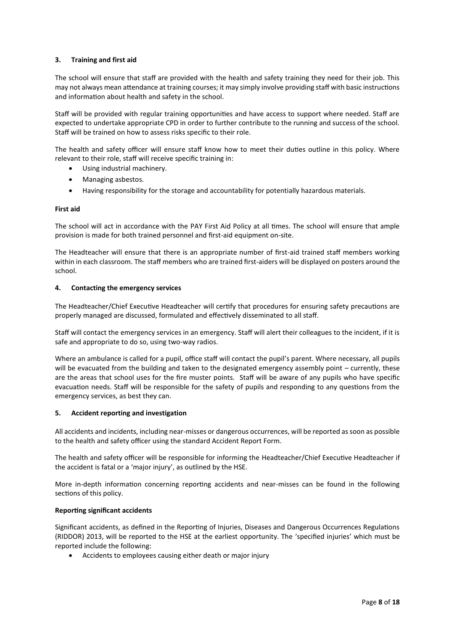# <span id="page-7-0"></span>**3. Training and first aid**

The school will ensure that staff are provided with the health and safety training they need for their job. This may not always mean attendance at training courses; it may simply involve providing staff with basic instructions and information about health and safety in the school.

Staff will be provided with regular training opportunities and have access to support where needed. Staff are expected to undertake appropriate CPD in order to further contribute to the running and success of the school. Staff will be trained on how to assess risks specific to their role.

The health and safety officer will ensure staff know how to meet their duties outline in this policy. Where relevant to their role, staff will receive specific training in:

- Using industrial machinery.
- Managing asbestos.
- Having responsibility for the storage and accountability for potentially hazardous materials.

#### **First aid**

The school will act in accordance with the PAY First Aid Policy at all times. The school will ensure that ample provision is made for both trained personnel and first-aid equipment on-site.

The Headteacher will ensure that there is an appropriate number of first-aid trained staff members working within in each classroom. The staff members who are trained first-aiders will be displayed on posters around the school.

#### <span id="page-7-1"></span>**4. Contacting the emergency services**

The Headteacher/Chief Executive Headteacher will certify that procedures for ensuring safety precautions are properly managed are discussed, formulated and effectively disseminated to all staff.

Staff will contact the emergency services in an emergency. Staff will alert their colleagues to the incident, if it is safe and appropriate to do so, using two-way radios.

Where an ambulance is called for a pupil, office staff will contact the pupil's parent. Where necessary, all pupils will be evacuated from the building and taken to the designated emergency assembly point – currently, these are the areas that school uses for the fire muster points. Staff will be aware of any pupils who have specific evacuation needs. Staff will be responsible for the safety of pupils and responding to any questions from the emergency services, as best they can.

# <span id="page-7-2"></span>**5. Accident reporting and investigation**

All accidents and incidents, including near-misses or dangerous occurrences, will be reported as soon as possible to the health and safety officer using the standard Accident Report Form.

The health and safety officer will be responsible for informing the Headteacher/Chief Executive Headteacher if the accident is fatal or a 'major injury', as outlined by the HSE.

More in-depth information concerning reporting accidents and near-misses can be found in the following sections of this policy.

# **Reporting significant accidents**

Significant accidents, as defined in the Reporting of Injuries, Diseases and Dangerous Occurrences Regulations (RIDDOR) 2013, will be reported to the HSE at the earliest opportunity. The 'specified injuries' which must be reported include the following:

Accidents to employees causing either death or major injury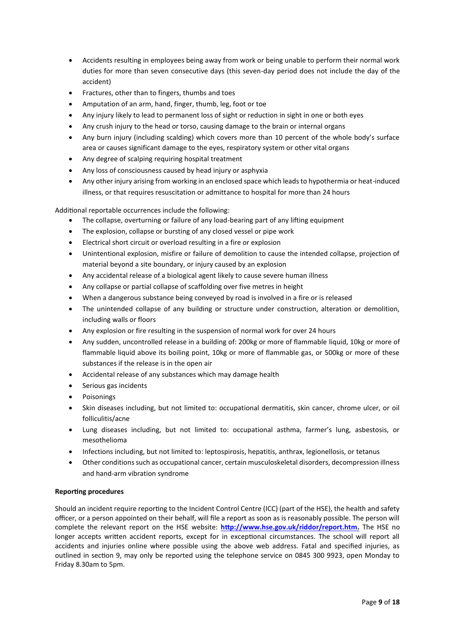- Accidents resulting in employees being away from work or being unable to perform their normal work duties for more than seven consecutive days (this seven-day period does not include the day of the accident)
- Fractures, other than to fingers, thumbs and toes
- Amputation of an arm, hand, finger, thumb, leg, foot or toe
- Any injury likely to lead to permanent loss of sight or reduction in sight in one or both eyes
- Any crush injury to the head or torso, causing damage to the brain or internal organs
- Any burn injury (including scalding) which covers more than 10 percent of the whole body's surface area or causes significant damage to the eyes, respiratory system or other vital organs
- Any degree of scalping requiring hospital treatment
- Any loss of consciousness caused by head injury or asphyxia
- Any other injury arising from working in an enclosed space which leads to hypothermia or heat-induced illness, or that requires resuscitation or admittance to hospital for more than 24 hours

Additional reportable occurrences include the following:

- The collapse, overturning or failure of any load-bearing part of any lifting equipment
- The explosion, collapse or bursting of any closed vessel or pipe work
- Electrical short circuit or overload resulting in a fire or explosion
- Unintentional explosion, misfire or failure of demolition to cause the intended collapse, projection of material beyond a site boundary, or injury caused by an explosion
- Any accidental release of a biological agent likely to cause severe human illness
- Any collapse or partial collapse of scaffolding over five metres in height
- When a dangerous substance being conveyed by road is involved in a fire or is released
- The unintended collapse of any building or structure under construction, alteration or demolition, including walls or floors
- Any explosion or fire resulting in the suspension of normal work for over 24 hours
- Any sudden, uncontrolled release in a building of: 200kg or more of flammable liquid, 10kg or more of flammable liquid above its boiling point, 10kg or more of flammable gas, or 500kg or more of these substances if the release is in the open air
- Accidental release of any substances which may damage health
- Serious gas incidents
- Poisonings
- Skin diseases including, but not limited to: occupational dermatitis, skin cancer, chrome ulcer, or oil folliculitis/acne
- Lung diseases including, but not limited to: occupational asthma, farmer's lung, asbestosis, or mesothelioma
- Infections including, but not limited to: leptospirosis, hepatitis, anthrax, legionellosis, or tetanus
- Other conditions such as occupational cancer, certain musculoskeletal disorders, decompression illness and hand-arm vibration syndrome

# **Reporting procedures**

Should an incident require reporting to the Incident Control Centre (ICC) (part of the HSE), the health and safety officer, or a person appointed on their behalf, will file a report as soon as is reasonably possible. The person will complete the relevant report on the HSE website: **[http://www.hse.gov.uk/riddor/report.htm.](http://www.hse.gov.uk/riddor/report.htm)** The HSE no longer accepts written accident reports, except for in exceptional circumstances. The school will report all accidents and injuries online where possible using the above web address. Fatal and specified injuries, as outlined in section 9, may only be reported using the telephone service on 0845 300 9923, open Monday to Friday 8.30am to 5pm.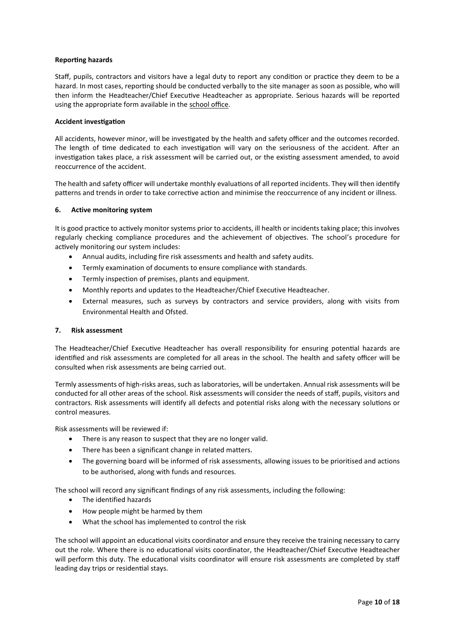## **Reporting hazards**

Staff, pupils, contractors and visitors have a legal duty to report any condition or practice they deem to be a hazard. In most cases, reporting should be conducted verbally to the site manager as soon as possible, who will then inform the Headteacher/Chief Executive Headteacher as appropriate. Serious hazards will be reported using the appropriate form available in the school office.

#### **Accident investigation**

All accidents, however minor, will be investigated by the health and safety officer and the outcomes recorded. The length of time dedicated to each investigation will vary on the seriousness of the accident. After an investigation takes place, a risk assessment will be carried out, or the existing assessment amended, to avoid reoccurrence of the accident.

The health and safety officer will undertake monthly evaluations of all reported incidents. They will then identify patterns and trends in order to take corrective action and minimise the reoccurrence of any incident or illness.

#### <span id="page-9-0"></span>**6. Active monitoring system**

It is good practice to actively monitor systems prior to accidents, ill health or incidents taking place; this involves regularly checking compliance procedures and the achievement of objectives. The school's procedure for actively monitoring our system includes:

- Annual audits, including fire risk assessments and health and safety audits.
- Termly examination of documents to ensure compliance with standards.
- Termly inspection of premises, plants and equipment.
- Monthly reports and updates to the Headteacher/Chief Executive Headteacher.
- External measures, such as surveys by contractors and service providers, along with visits from Environmental Health and Ofsted.

#### <span id="page-9-1"></span>**7. Risk assessment**

The Headteacher/Chief Executive Headteacher has overall responsibility for ensuring potential hazards are identified and risk assessments are completed for all areas in the school. The health and safety officer will be consulted when risk assessments are being carried out.

Termly assessments of high-risks areas, such as laboratories, will be undertaken. Annual risk assessments will be conducted for all other areas of the school. Risk assessments will consider the needs of staff, pupils, visitors and contractors. Risk assessments will identify all defects and potential risks along with the necessary solutions or control measures.

Risk assessments will be reviewed if:

- There is any reason to suspect that they are no longer valid.
- There has been a significant change in related matters.
- The governing board will be informed of risk assessments, allowing issues to be prioritised and actions to be authorised, along with funds and resources.

The school will record any significant findings of any risk assessments, including the following:

- The identified hazards
- How people might be harmed by them
- What the school has implemented to control the risk

The school will appoint an educational visits coordinator and ensure they receive the training necessary to carry out the role. Where there is no educational visits coordinator, the Headteacher/Chief Executive Headteacher will perform this duty. The educational visits coordinator will ensure risk assessments are completed by staff leading day trips or residential stays.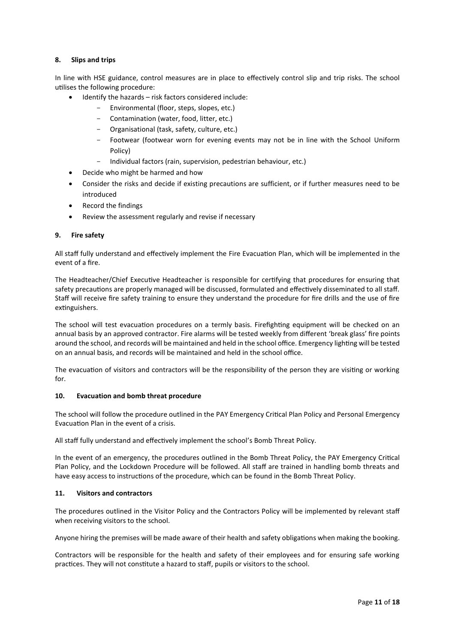# <span id="page-10-0"></span>**8. Slips and trips**

In line with HSE guidance, control measures are in place to effectively control slip and trip risks. The school utilises the following procedure:

- Identify the hazards risk factors considered include:
	- Environmental (floor, steps, slopes, etc.)
	- Contamination (water, food, litter, etc.)
	- Organisational (task, safety, culture, etc.)
	- Footwear (footwear worn for evening events may not be in line with the School Uniform Policy)
	- Individual factors (rain, supervision, pedestrian behaviour, etc.)
- Decide who might be harmed and how
- Consider the risks and decide if existing precautions are sufficient, or if further measures need to be introduced
- Record the findings
- Review the assessment regularly and revise if necessary

# <span id="page-10-1"></span>**9. Fire safety**

All staff fully understand and effectively implement the Fire Evacuation Plan, which will be implemented in the event of a fire.

The Headteacher/Chief Executive Headteacher is responsible for certifying that procedures for ensuring that safety precautions are properly managed will be discussed, formulated and effectively disseminated to all staff. Staff will receive fire safety training to ensure they understand the procedure for fire drills and the use of fire extinguishers.

The school will test evacuation procedures on a termly basis. Firefighting equipment will be checked on an annual basis by an approved contractor. Fire alarms will be tested weekly from different 'break glass' fire points around the school, and records will be maintained and held in the school office. Emergency lighting will be tested on an annual basis, and records will be maintained and held in the school office.

The evacuation of visitors and contractors will be the responsibility of the person they are visiting or working for.

#### <span id="page-10-2"></span>**10. Evacuation and bomb threat procedure**

The school will follow the procedure outlined in the PAY Emergency Critical Plan Policy and Personal Emergency Evacuation Plan in the event of a crisis.

All staff fully understand and effectively implement the school's Bomb Threat Policy.

In the event of an emergency, the procedures outlined in the Bomb Threat Policy, the PAY Emergency Critical Plan Policy, and the Lockdown Procedure will be followed. All staff are trained in handling bomb threats and have easy access to instructions of the procedure, which can be found in the Bomb Threat Policy.

# <span id="page-10-3"></span>**11. Visitors and contractors**

The procedures outlined in the Visitor Policy and the Contractors Policy will be implemented by relevant staff when receiving visitors to the school.

Anyone hiring the premises will be made aware of their health and safety obligations when making the booking.

Contractors will be responsible for the health and safety of their employees and for ensuring safe working practices. They will not constitute a hazard to staff, pupils or visitors to the school.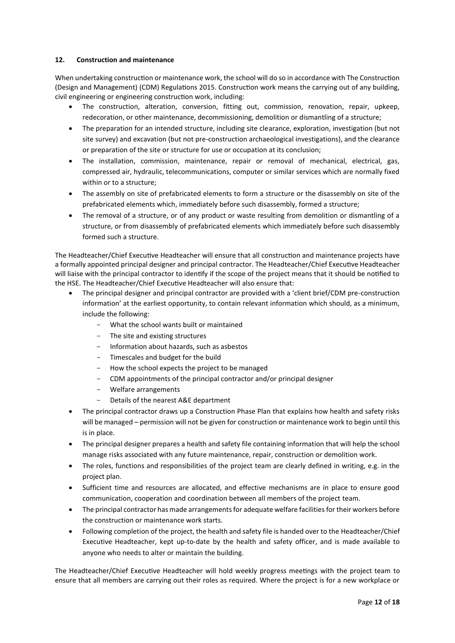# <span id="page-11-0"></span>**12. Construction and maintenance**

When undertaking construction or maintenance work, the school will do so in accordance with The Construction (Design and Management) (CDM) Regulations 2015. Construction work means the carrying out of any building, civil engineering or engineering construction work, including:

- The construction, alteration, conversion, fitting out, commission, renovation, repair, upkeep, redecoration, or other maintenance, decommissioning, demolition or dismantling of a structure;
- The preparation for an intended structure, including site clearance, exploration, investigation (but not site survey) and excavation (but not pre-construction archaeological investigations), and the clearance or preparation of the site or structure for use or occupation at its conclusion;
- The installation, commission, maintenance, repair or removal of mechanical, electrical, gas, compressed air, hydraulic, telecommunications, computer or similar services which are normally fixed within or to a structure;
- The assembly on site of prefabricated elements to form a structure or the disassembly on site of the prefabricated elements which, immediately before such disassembly, formed a structure;
- The removal of a structure, or of any product or waste resulting from demolition or dismantling of a structure, or from disassembly of prefabricated elements which immediately before such disassembly formed such a structure.

The Headteacher/Chief Executive Headteacher will ensure that all construction and maintenance projects have a formally appointed principal designer and principal contractor. The Headteacher/Chief Executive Headteacher will liaise with the principal contractor to identify if the scope of the project means that it should be notified to the HSE. The Headteacher/Chief Executive Headteacher will also ensure that:

- The principal designer and principal contractor are provided with a 'client brief/CDM pre-construction information' at the earliest opportunity, to contain relevant information which should, as a minimum, include the following:
	- What the school wants built or maintained
	- The site and existing structures
	- Information about hazards, such as asbestos
	- Timescales and budget for the build
	- How the school expects the project to be managed
	- CDM appointments of the principal contractor and/or principal designer
	- Welfare arrangements
	- Details of the nearest A&E department
- The principal contractor draws up a Construction Phase Plan that explains how health and safety risks will be managed – permission will not be given for construction or maintenance work to begin until this is in place.
- The principal designer prepares a health and safety file containing information that will help the school manage risks associated with any future maintenance, repair, construction or demolition work.
- The roles, functions and responsibilities of the project team are clearly defined in writing, e.g. in the project plan.
- Sufficient time and resources are allocated, and effective mechanisms are in place to ensure good communication, cooperation and coordination between all members of the project team.
- The principal contractor has made arrangements for adequate welfare facilities for their workers before the construction or maintenance work starts.
- Following completion of the project, the health and safety file is handed over to the Headteacher/Chief Executive Headteacher, kept up-to-date by the health and safety officer, and is made available to anyone who needs to alter or maintain the building.

The Headteacher/Chief Executive Headteacher will hold weekly progress meetings with the project team to ensure that all members are carrying out their roles as required. Where the project is for a new workplace or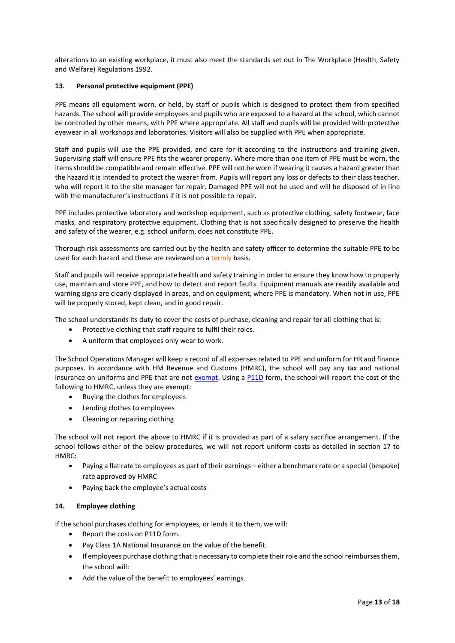alterations to an existing workplace, it must also meet the standards set out in The Workplace (Health, Safety and Welfare) Regulations 1992.

# <span id="page-12-0"></span>**13. Personal protective equipment (PPE)**

PPE means all equipment worn, or held, by staff or pupils which is designed to protect them from specified hazards. The school will provide employees and pupils who are exposed to a hazard at the school, which cannot be controlled by other means, with PPE where appropriate. All staff and pupils will be provided with protective eyewear in all workshops and laboratories. Visitors will also be supplied with PPE when appropriate.

Staff and pupils will use the PPE provided, and care for it according to the instructions and training given. Supervising staff will ensure PPE fits the wearer properly. Where more than one item of PPE must be worn, the items should be compatible and remain effective. PPE will not be worn if wearing it causes a hazard greater than the hazard it is intended to protect the wearer from. Pupils will report any loss or defects to their class teacher, who will report it to the site manager for repair. Damaged PPE will not be used and will be disposed of in line with the manufacturer's instructions if it is not possible to repair.

PPE includes protective laboratory and workshop equipment, such as protective clothing, safety footwear, face masks, and respiratory protective equipment. Clothing that is not specifically designed to preserve the health and safety of the wearer, e.g. school uniform, does not constitute PPE.

Thorough risk assessments are carried out by the health and safety officer to determine the suitable PPE to be used for each hazard and these are reviewed on a termly basis.

Staff and pupils will receive appropriate health and safety training in order to ensure they know how to properly use, maintain and store PPE, and how to detect and report faults. Equipment manuals are readily available and warning signs are clearly displayed in areas, and on equipment, where PPE is mandatory. When not in use, PPE will be properly stored, kept clean, and in good repair.

The school understands its duty to cover the costs of purchase, cleaning and repair for all clothing that is:

- Protective clothing that staff require to fulfil their roles.
- A uniform that employees only wear to work.

The School Operations Manager will keep a record of all expenses related to PPE and uniform for HR and finance purposes. In accordance with HM Revenue and Customs (HMRC), the school will pay any tax and national insurance on uniforms and PPE that are not [exempt.](https://www.gov.uk/employer-reporting-expenses-benefits/dispensations) Using a [P11D](https://www.gov.uk/government/publications/paye-end-of-year-expenses-and-benefits-online-form) form, the school will report the cost of the following to HMRC, unless they are exempt:

- Buying the clothes for employees
- Lending clothes to employees
- Cleaning or repairing clothing

The school will not report the above to HMRC if it is provided as part of a salary sacrifice arrangement. If the school follows either of the below procedures, we will not report uniform costs as detailed in section 17 to HMRC:

- Paying a flat rate to employees as part of their earnings either a benchmark rate or a special (bespoke) rate approved by HMRC
- Paying back the employee's actual costs

# <span id="page-12-1"></span>**14. Employee clothing**

If the school purchases clothing for employees, or lends it to them, we will:

- Report the costs on P11D form.
- Pay Class 1A National Insurance on the value of the benefit.
- If employees purchase clothing that is necessary to complete their role and the school reimburses them, the school will:
- Add the value of the benefit to employees' earnings.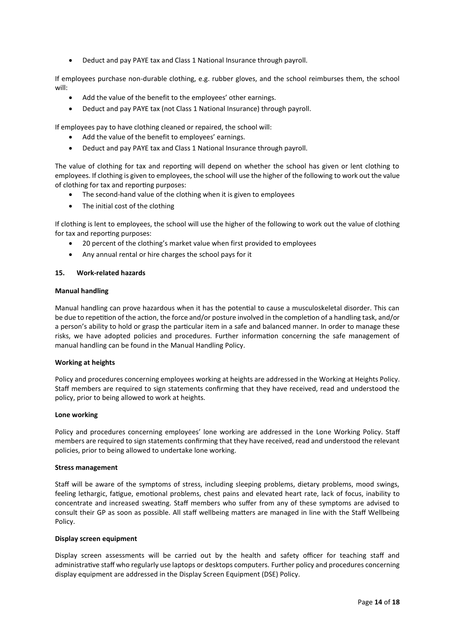Deduct and pay PAYE tax and Class 1 National Insurance through payroll.

If employees purchase non-durable clothing, e.g. rubber gloves, and the school reimburses them, the school will:

- Add the value of the benefit to the employees' other earnings.
- Deduct and pay PAYE tax (not Class 1 National Insurance) through payroll.

If employees pay to have clothing cleaned or repaired, the school will:

- Add the value of the benefit to employees' earnings.
- Deduct and pay PAYE tax and Class 1 National Insurance through payroll.

The value of clothing for tax and reporting will depend on whether the school has given or lent clothing to employees. If clothing is given to employees, the school will use the higher of the following to work out the value of clothing for tax and reporting purposes:

- The second-hand value of the clothing when it is given to employees
- The initial cost of the clothing

If clothing is lent to employees, the school will use the higher of the following to work out the value of clothing for tax and reporting purposes:

- 20 percent of the clothing's market value when first provided to employees
- Any annual rental or hire charges the school pays for it

#### <span id="page-13-0"></span>**15. Work-related hazards**

#### **Manual handling**

Manual handling can prove hazardous when it has the potential to cause a musculoskeletal disorder. This can be due to repetition of the action, the force and/or posture involved in the completion of a handling task, and/or a person's ability to hold or grasp the particular item in a safe and balanced manner. In order to manage these risks, we have adopted policies and procedures. Further information concerning the safe management of manual handling can be found in the Manual Handling Policy.

#### **Working at heights**

Policy and procedures concerning employees working at heights are addressed in the Working at Heights Policy. Staff members are required to sign statements confirming that they have received, read and understood the policy, prior to being allowed to work at heights.

#### **Lone working**

Policy and procedures concerning employees' lone working are addressed in the Lone Working Policy. Staff members are required to sign statements confirming that they have received, read and understood the relevant policies, prior to being allowed to undertake lone working.

#### **Stress management**

Staff will be aware of the symptoms of stress, including sleeping problems, dietary problems, mood swings, feeling lethargic, fatigue, emotional problems, chest pains and elevated heart rate, lack of focus, inability to concentrate and increased sweating. Staff members who suffer from any of these symptoms are advised to consult their GP as soon as possible. All staff wellbeing matters are managed in line with the Staff Wellbeing Policy.

#### **Display screen equipment**

Display screen assessments will be carried out by the health and safety officer for teaching staff and administrative staff who regularly use laptops or desktops computers. Further policy and procedures concerning display equipment are addressed in the Display Screen Equipment (DSE) Policy.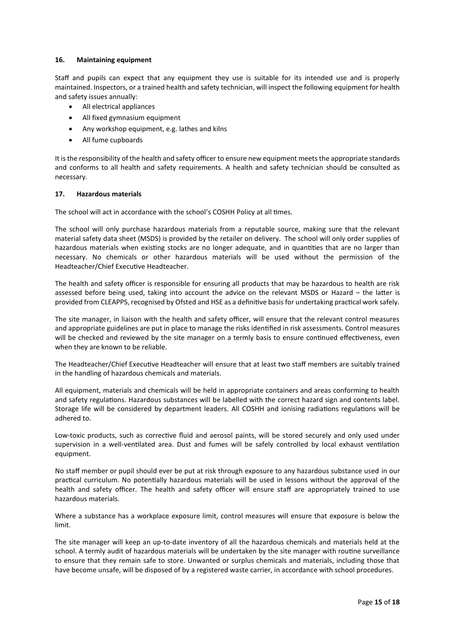# <span id="page-14-0"></span>**16. Maintaining equipment**

Staff and pupils can expect that any equipment they use is suitable for its intended use and is properly maintained. Inspectors, or a trained health and safety technician, will inspect the following equipment for health and safety issues annually:

- All electrical appliances
- All fixed gymnasium equipment
- Any workshop equipment, e.g. lathes and kilns
- All fume cupboards

It is the responsibility of the health and safety officer to ensure new equipment meets the appropriate standards and conforms to all health and safety requirements. A health and safety technician should be consulted as necessary.

#### <span id="page-14-1"></span>**17. Hazardous materials**

The school will act in accordance with the school's COSHH Policy at all times.

The school will only purchase hazardous materials from a reputable source, making sure that the relevant material safety data sheet (MSDS) is provided by the retailer on delivery. The school will only order supplies of hazardous materials when existing stocks are no longer adequate, and in quantities that are no larger than necessary. No chemicals or other hazardous materials will be used without the permission of the Headteacher/Chief Executive Headteacher.

The health and safety officer is responsible for ensuring all products that may be hazardous to health are risk assessed before being used, taking into account the advice on the relevant MSDS or Hazard – the latter is provided from CLEAPPS, recognised by Ofsted and HSE as a definitive basis for undertaking practical work safely.

The site manager, in liaison with the health and safety officer, will ensure that the relevant control measures and appropriate guidelines are put in place to manage the risks identified in risk assessments. Control measures will be checked and reviewed by the site manager on a termly basis to ensure continued effectiveness, even when they are known to be reliable.

The Headteacher/Chief Executive Headteacher will ensure that at least two staff members are suitably trained in the handling of hazardous chemicals and materials.

All equipment, materials and chemicals will be held in appropriate containers and areas conforming to health and safety regulations. Hazardous substances will be labelled with the correct hazard sign and contents label. Storage life will be considered by department leaders. All COSHH and ionising radiations regulations will be adhered to.

Low-toxic products, such as corrective fluid and aerosol paints, will be stored securely and only used under supervision in a well-ventilated area. Dust and fumes will be safely controlled by local exhaust ventilation equipment.

No staff member or pupil should ever be put at risk through exposure to any hazardous substance used in our practical curriculum. No potentially hazardous materials will be used in lessons without the approval of the health and safety officer. The health and safety officer will ensure staff are appropriately trained to use hazardous materials.

Where a substance has a workplace exposure limit, control measures will ensure that exposure is below the limit.

The site manager will keep an up-to-date inventory of all the hazardous chemicals and materials held at the school. A termly audit of hazardous materials will be undertaken by the site manager with routine surveillance to ensure that they remain safe to store. Unwanted or surplus chemicals and materials, including those that have become unsafe, will be disposed of by a registered waste carrier, in accordance with school procedures.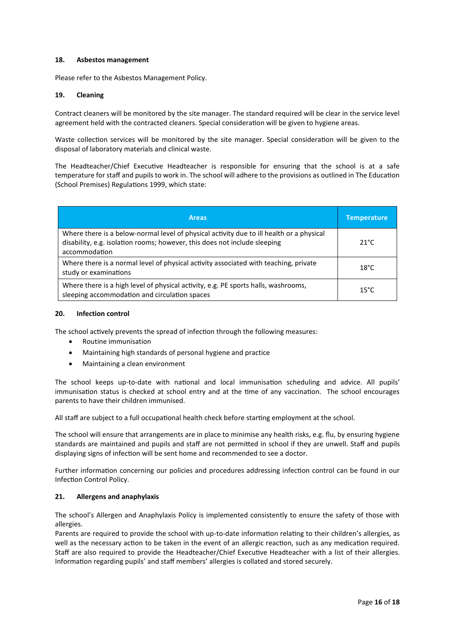## <span id="page-15-0"></span>**18. Asbestos management**

Please refer to the Asbestos Management Policy.

## <span id="page-15-1"></span>**19. Cleaning**

Contract cleaners will be monitored by the site manager. The standard required will be clear in the service level agreement held with the contracted cleaners. Special consideration will be given to hygiene areas.

Waste collection services will be monitored by the site manager. Special consideration will be given to the disposal of laboratory materials and clinical waste.

The Headteacher/Chief Executive Headteacher is responsible for ensuring that the school is at a safe temperature for staff and pupils to work in. The school will adhere to the provisions as outlined in The Education (School Premises) Regulations 1999, which state:

| <b>Areas</b>                                                                                                                                                                           | <b>Temperature</b> |
|----------------------------------------------------------------------------------------------------------------------------------------------------------------------------------------|--------------------|
| Where there is a below-normal level of physical activity due to ill health or a physical<br>disability, e.g. isolation rooms; however, this does not include sleeping<br>accommodation | $21^{\circ}$ C     |
| Where there is a normal level of physical activity associated with teaching, private<br>study or examinations                                                                          | $18^{\circ}$ C     |
| Where there is a high level of physical activity, e.g. PE sports halls, washrooms,<br>sleeping accommodation and circulation spaces                                                    | $15^{\circ}$ C     |

#### <span id="page-15-2"></span>**20. Infection control**

The school actively prevents the spread of infection through the following measures:

- Routine immunisation
- Maintaining high standards of personal hygiene and practice
- Maintaining a clean environment

The school keeps up-to-date with national and local immunisation scheduling and advice. All pupils' immunisation status is checked at school entry and at the time of any vaccination. The school encourages parents to have their children immunised.

All staff are subject to a full occupational health check before starting employment at the school.

The school will ensure that arrangements are in place to minimise any health risks, e.g. flu, by ensuring hygiene standards are maintained and pupils and staff are not permitted in school if they are unwell. Staff and pupils displaying signs of infection will be sent home and recommended to see a doctor.

Further information concerning our policies and procedures addressing infection control can be found in our Infection Control Policy.

#### <span id="page-15-3"></span>**21. Allergens and anaphylaxis**

The school's Allergen and Anaphylaxis Policy is implemented consistently to ensure the safety of those with allergies.

Parents are required to provide the school with up-to-date information relating to their children's allergies, as well as the necessary action to be taken in the event of an allergic reaction, such as any medication required. Staff are also required to provide the Headteacher/Chief Executive Headteacher with a list of their allergies. Information regarding pupils' and staff members' allergies is collated and stored securely.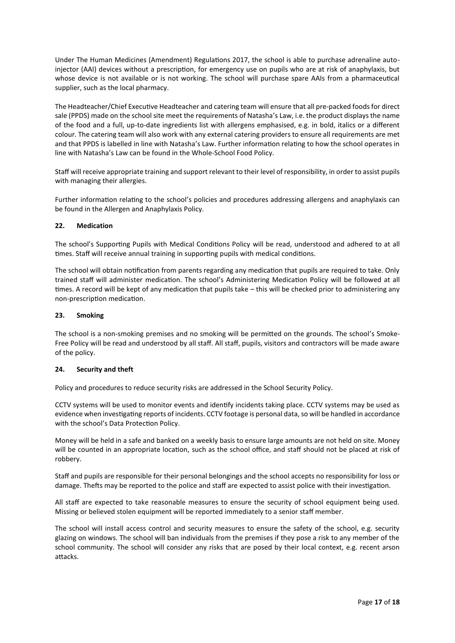Under The Human Medicines (Amendment) Regulations 2017, the school is able to purchase adrenaline autoinjector (AAI) devices without a prescription, for emergency use on pupils who are at risk of anaphylaxis, but whose device is not available or is not working. The school will purchase spare AAIs from a pharmaceutical supplier, such as the local pharmacy.

The Headteacher/Chief Executive Headteacher and catering team will ensure that all pre-packed foods for direct sale (PPDS) made on the school site meet the requirements of Natasha's Law, i.e. the product displays the name of the food and a full, up-to-date ingredients list with allergens emphasised, e.g. in bold, italics or a different colour. The catering team will also work with any external catering providers to ensure all requirements are met and that PPDS is labelled in line with Natasha's Law. Further information relating to how the school operates in line with Natasha's Law can be found in the Whole-School Food Policy.

Staff will receive appropriate training and support relevant to their level of responsibility, in order to assist pupils with managing their allergies.

Further information relating to the school's policies and procedures addressing allergens and anaphylaxis can be found in the Allergen and Anaphylaxis Policy.

# <span id="page-16-0"></span>**22. Medication**

The school's Supporting Pupils with Medical Conditions Policy will be read, understood and adhered to at all times. Staff will receive annual training in supporting pupils with medical conditions.

The school will obtain notification from parents regarding any medication that pupils are required to take. Only trained staff will administer medication. The school's Administering Medication Policy will be followed at all times. A record will be kept of any medication that pupils take – this will be checked prior to administering any non-prescription medication.

#### <span id="page-16-1"></span>**23. Smoking**

The school is a non-smoking premises and no smoking will be permitted on the grounds. The school's Smoke-Free Policy will be read and understood by all staff. All staff, pupils, visitors and contractors will be made aware of the policy.

#### <span id="page-16-2"></span>**24. Security and theft**

Policy and procedures to reduce security risks are addressed in the School Security Policy.

CCTV systems will be used to monitor events and identify incidents taking place. CCTV systems may be used as evidence when investigating reports of incidents. CCTV footage is personal data, so will be handled in accordance with the school's Data Protection Policy.

Money will be held in a safe and banked on a weekly basis to ensure large amounts are not held on site. Money will be counted in an appropriate location, such as the school office, and staff should not be placed at risk of robbery.

Staff and pupils are responsible for their personal belongings and the school accepts no responsibility for loss or damage. Thefts may be reported to the police and staff are expected to assist police with their investigation.

All staff are expected to take reasonable measures to ensure the security of school equipment being used. Missing or believed stolen equipment will be reported immediately to a senior staff member.

The school will install access control and security measures to ensure the safety of the school, e.g. security glazing on windows. The school will ban individuals from the premises if they pose a risk to any member of the school community. The school will consider any risks that are posed by their local context, e.g. recent arson attacks.